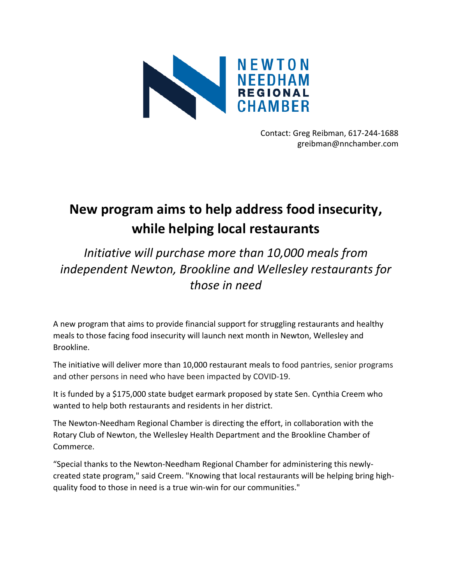

Contact: Greg Reibman, 617-244-1688 greibman@nnchamber.com

## **New program aims to help address food insecurity, while helping local restaurants**

## *Initiative will purchase more than 10,000 meals from independent Newton, Brookline and Wellesley restaurants for those in need*

A new program that aims to provide financial support for struggling restaurants and healthy meals to those facing food insecurity will launch next month in Newton, Wellesley and Brookline.

The initiative will deliver more than 10,000 restaurant meals to food pantries, senior programs and other persons in need who have been impacted by COVID-19.

It is funded by a \$175,000 state budget earmark proposed by state Sen. Cynthia Creem who wanted to help both restaurants and residents in her district.

The Newton-Needham Regional Chamber is directing the effort, in collaboration with the Rotary Club of Newton, the Wellesley Health Department and the Brookline Chamber of Commerce.

"Special thanks to the Newton-Needham Regional Chamber for administering this newlycreated state program," said Creem. "Knowing that local restaurants will be helping bring highquality food to those in need is a true win-win for our communities."